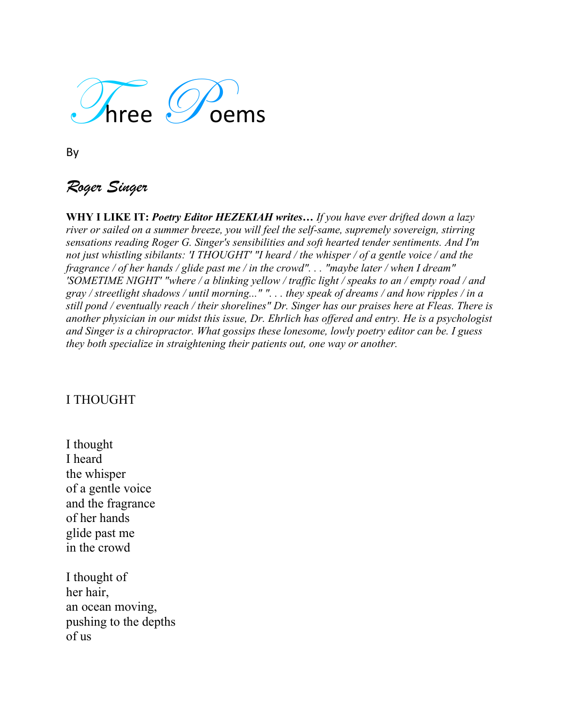

By

## *Roger Singer*

**WHY I LIKE IT:** *Poetry Editor HEZEKIAH writes… If you have ever drifted down a lazy river or sailed on a summer breeze, you will feel the self-same, supremely sovereign, stirring sensations reading Roger G. Singer's sensibilities and soft hearted tender sentiments. And I'm not just whistling sibilants: 'I THOUGHT' "I heard / the whisper / of a gentle voice / and the fragrance / of her hands / glide past me / in the crowd". . . "maybe later / when I dream" 'SOMETIME NIGHT' "where / a blinking yellow / traffic light / speaks to an / empty road / and gray / streetlight shadows / until morning..." ". . . they speak of dreams / and how ripples / in a still pond / eventually reach / their shorelines" Dr. Singer has our praises here at Fleas. There is another physician in our midst this issue, Dr. Ehrlich has offered and entry. He is a psychologist and Singer is a chiropractor. What gossips these lonesome, lowly poetry editor can be. I guess they both specialize in straightening their patients out, one way or another.*

## I THOUGHT

I thought I heard the whisper of a gentle voice and the fragrance of her hands glide past me in the crowd

I thought of her hair, an ocean moving, pushing to the depths of us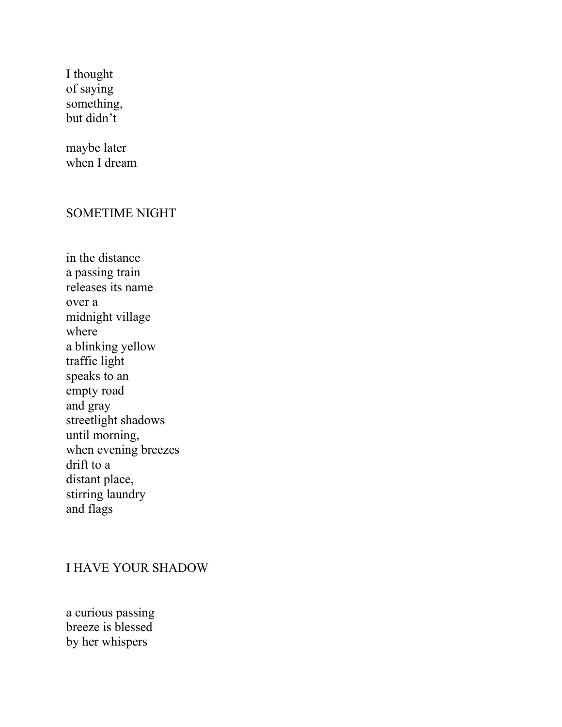I thought of saying something, but didn't

maybe later when I dream

## SOMETIME NIGHT

in the distance a passing train releases its name over a midnight village where a blinking yellow traffic light speaks to an empty road and gray streetlight shadows until morning, when evening breezes drift to a distant place, stirring laundry and flags

## I HAVE YOUR SHADOW

a curious passing breeze is blessed by her whispers